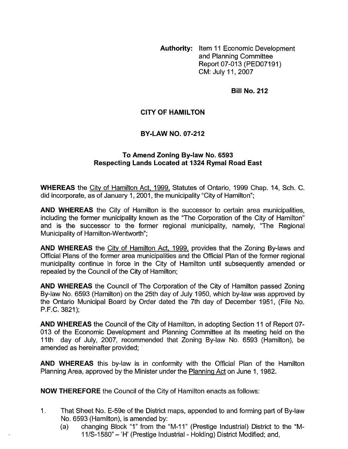**Authority:** Item 11 Economic Development and Planning Committee Report 07-013 (PED07191) CM: July 11,2007

**Bill No. 212** 

## **CITY OF HAMILTON**

## **BY-LAW NO. 07-212**

## **To Amend Zoning By-law No. 6593 Respecting Lands Located at 1324 Rymal Road East**

**WHEREAS** the City of Hamilton Act, 1999, Statutes of Ontario, 1999 Chap. 14, Sch. C. did incorporate, as of January 1,2001, the municipality "City of Hamilton";

**AND WHEREAS** the City of Hamilton is the successor to certain area municipalities, including the former municipality known as the "The Corporation of the City of Hamilton'' and is the successor to the former regional municipality, namely, "The Regional Municipality of Hamilton-Wentworth";

**AND WHEREAS** the City of Hamilton Act, 1999, provides that the Zoning By-laws and Official Plans of the former area municipalities and the Official Plan of the former regional municipality continue in force in the City of Hamilton until subsequently amended or repealed by the Council of the City of Hamilton;

**AND WHEREAS** the Council of The Corporation of the City of Hamilton passed Zoning By-law No. 6593 (Hamilton) on the 25th day of July 1950, which by-law was approved by the Ontario Municipal Board by Order dated the 7th day of December 1951, (File No. P.F.C. 3821);

**AND WHEREAS** the Council of the City of Hamilton, in adopting Section 11 of Report 07- 013 of the Economic Development and Planning Committee at its meeting held on the 1 Ith day of July, 2007, recommended that Zoning By-law No. 6593 (Hamilton), be amended as hereinafter provided;

**AND WHEREAS** this by-law is in conformity with the Official Plan of the Hamilton Planning Area, approved by the Minister under the Planning Act on June 1, 1982.

**NOW THEREFORE** the Council of the City of Hamilton enacts as follows:

- 1. That Sheet No. E-59e of the District maps, appended to and forming part of By-law No. 6593 (Hamilton), is amended by:
	- No. 6593 (Hamilton), is amended by:<br>(a) changing Block "1" from the "M-11" (Prestige Industrial) District to the "M-I Committed, Committed and Constantine Constantine Changing Block "1" from the "M-11" (Prestige Industrial) District Modified; and,<br>11/S-1580" – 'H' (Prestige Industrial - Holding) District Modified; and,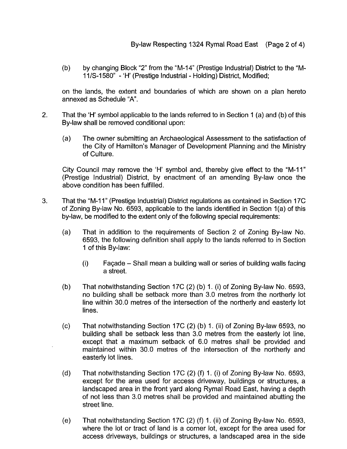(b) by changing Block "2" from the "M-14" (Prestige Industrial) District to the "M-<br>11/S-1580" - 'H' (Prestige Industrial - Holding) District, Modified;

on the lands, the extent and boundaries of which are shown on a plan hereto annexed as Schedule "A".

- 2. That the 'H' symbol applicable to the lands referred to in Section 1 (a) and (b) of this By-law shall be removed conditional upon:
	- (a) The owner submitting an Archaeological Assessment to the satisfaction of the City of Hamilton's Manager of Development Planning and the Ministry of Culture.

City Council may remove the 'H' symbol and, thereby give effect to the "M-11" (Prestige Industrial) District, by enactment of an amending By-law once the above condition has been fulfilled.

- 3. That the "M-I 1" (Prestige Industrial) District regulations as contained in Section 17C of Zoning By-law No. 6593, applicable to the lands identified in Section l(a) of this by-law, be modified to the extent only of the following special requirements:
	- $(a)$ That in addition to the requirements of Section 2 of Zoning By-law No. 6593, the following definition shall apply to the lands referred to in Section 1 of this By-law:
		- (i) FaGade Shall mean a building wall or series of building walls facing a street.
	- $(b)$ That notwithstanding Section 17C (2) (b) 1. (i) of Zoning By-law No. 6593, no building shall be setback more than 3.0 metres from the northerly lot line within 30.0 metres of the intersection of the northerly and easterly lot lines.
	- That notwithstanding Section 17C (2) (b) 1. (ii) of Zoning By-law 6593, no  $(c)$ building shall be setback less than 3.0 metres from the easterly lot line, except that a maximum setback of 6.0 metres shall be provided and maintained within 30.0 metres of the intersection of the northerly and easterly lot lines.
	- $(d)$ That notwithstanding Section 17C (2) (f) 1. (i) of Zoning By-law No. 6593, except for the area used for access driveway, buildings or structures, a landscaped area in the front yard along Rymal Road East, having a depth of not less than 3.0 metres shall be provided and maintained abutting the street line.
	- That notwithstanding Section 17C (2) (f) 1. (ii) of Zoning By-law No. 6593,  $(e)$ where the lot or tract of land is a corner lot, except for the area used for access driveways, buildings or structures, a landscaped area in the side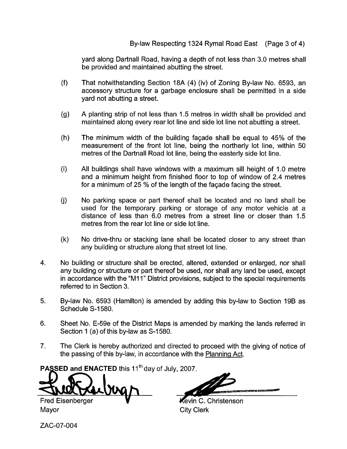## By-law Respecting 1324 Rymal Road East (Page 3 of 4)

yard along Dartnall Road, having a depth of not less than 3.0 metres shall be provided and maintained abutting the street.

- $(f)$ That notwithstanding Section 18A (4) (iv) of Zoning By-law No. 6593, an accessory structure for a garbage enclosure shall be permitted in a side yard not abutting a street.
- A planting strip of not less than 1.5 metres in width shall be provided and  $(q)$ maintained along every rear lot line and side lot line not abutting a street.
- $(h)$ The minimum width of the building faqade shall be equal to 45% of the measurement of the front lot line, being the northerly lot line, within 50 metres of the Dartnall Road lot line, being the easterly side lot line.
- $(i)$ All buildings shall have windows with a maximum sill height of 1.0 metre and a minimum height from finished floor to top of window of 2.4 metres for a minimum of 25 % of the length of the facade facing the street.
- $(i)$ No parking space or part thereof shall be located and no land shall be used for the temporary parking or storage of any motor vehicle at a distance of less than 6.0 metres from a street line or closer than 1.5 metres from the rear lot line or side lot line.
- $(k)$ No drive-thru or stacking lane shall be located closer to any street than any building or structure along that street lot line.
- 4. No building or structure shall be erected, altered, extended or enlarged, nor shall any building or structure or part thereof be used, nor shall any land be used, except in accordance with the "M11" District provisions, subject to the special requirements referred to in Section 3.
- 5. By-law No. 6593 (Hamilton) is amended by adding this by-law to Section 19B as Schedule S-1580.
- 6. Sheet No. E-59e of the District Maps is amended by marking the lands referred in Section 1 (a) of this by-law as S-1580.
- 7. The Clerk is hereby authorized and directed to proceed with the giving of notice of the passing of this by-law, in accordance with the Planning Act.

**PASSED and ENACTED this 11<sup>th</sup> day of July, 2007.** 

Fred Eisenberger **V V C. Christenson** 

Mayor **City Clerk** 

ZAC-07-004